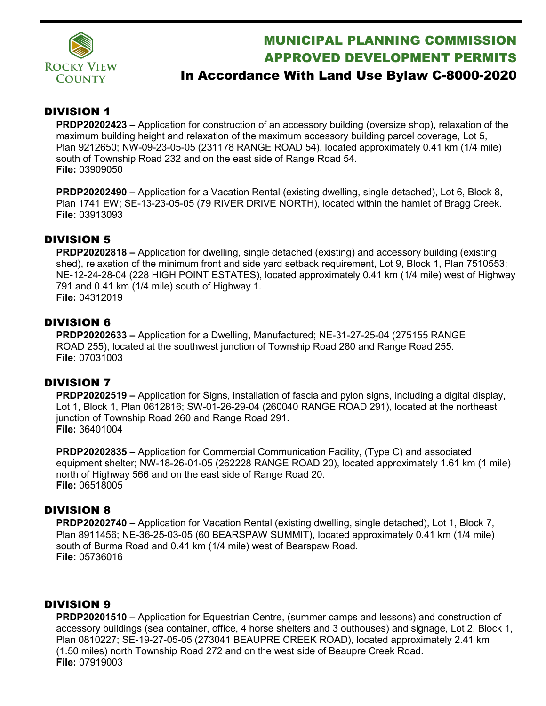

# MUNICIPAL PLANNING COMMISSION APPROVED DEVELOPMENT PERMITS

## In Accordance With Land Use Bylaw C-8000-2020

#### DIVISION 1

**PRDP20202423 –** Application for construction of an accessory building (oversize shop), relaxation of the maximum building height and relaxation of the maximum accessory building parcel coverage, Lot 5, Plan 9212650; NW-09-23-05-05 (231178 RANGE ROAD 54), located approximately 0.41 km (1/4 mile) south of Township Road 232 and on the east side of Range Road 54. **File:** 03909050

**PRDP20202490 –** Application for a Vacation Rental (existing dwelling, single detached), Lot 6, Block 8, Plan 1741 EW; SE-13-23-05-05 (79 RIVER DRIVE NORTH), located within the hamlet of Bragg Creek. **File:** 03913093

### DIVISION 5

**PRDP20202818 –** Application for dwelling, single detached (existing) and accessory building (existing shed), relaxation of the minimum front and side yard setback requirement, Lot 9, Block 1, Plan 7510553; NE-12-24-28-04 (228 HIGH POINT ESTATES), located approximately 0.41 km (1/4 mile) west of Highway 791 and 0.41 km (1/4 mile) south of Highway 1. **File:** 04312019

#### DIVISION 6

**PRDP20202633 –** Application for a Dwelling, Manufactured; NE-31-27-25-04 (275155 RANGE ROAD 255), located at the southwest junction of Township Road 280 and Range Road 255. **File:** 07031003

#### DIVISION 7

**PRDP20202519 –** Application for Signs, installation of fascia and pylon signs, including a digital display, Lot 1, Block 1, Plan 0612816; SW-01-26-29-04 (260040 RANGE ROAD 291), located at the northeast junction of Township Road 260 and Range Road 291. **File:** 36401004

**PRDP20202835 –** Application for Commercial Communication Facility, (Type C) and associated equipment shelter; NW-18-26-01-05 (262228 RANGE ROAD 20), located approximately 1.61 km (1 mile) north of Highway 566 and on the east side of Range Road 20. **File:** 06518005

#### DIVISION 8

**PRDP20202740 –** Application for Vacation Rental (existing dwelling, single detached), Lot 1, Block 7, Plan 8911456; NE-36-25-03-05 (60 BEARSPAW SUMMIT), located approximately 0.41 km (1/4 mile) south of Burma Road and 0.41 km (1/4 mile) west of Bearspaw Road. **File:** 05736016

#### DIVISION 9

**PRDP20201510 –** Application for Equestrian Centre, (summer camps and lessons) and construction of accessory buildings (sea container, office, 4 horse shelters and 3 outhouses) and signage, Lot 2, Block 1, Plan 0810227; SE-19-27-05-05 (273041 BEAUPRE CREEK ROAD), located approximately 2.41 km (1.50 miles) north Township Road 272 and on the west side of Beaupre Creek Road. **File:** 07919003